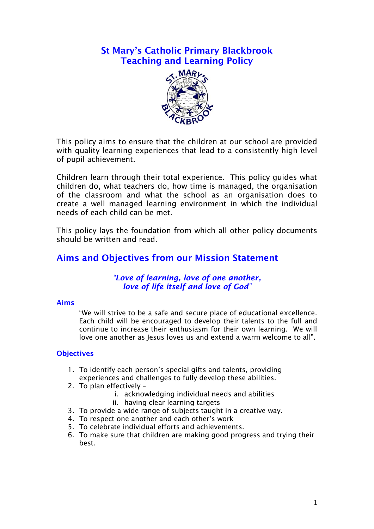## **St Mary's Catholic Primary Blackbrook Teaching and Learning Policy**



This policy aims to ensure that the children at our school are provided with quality learning experiences that lead to a consistently high level of pupil achievement.

Children learn through their total experience. This policy guides what children do, what teachers do, how time is managed, the organisation of the classroom and what the school as an organisation does to create a well managed learning environment in which the individual needs of each child can be met.

This policy lays the foundation from which all other policy documents should be written and read.

## **Aims and Objectives from our Mission Statement**

### *"Love of learning, love of one another, love of life itself and love of God"*

#### **Aims**

"We will strive to be a safe and secure place of educational excellence. Each child will be encouraged to develop their talents to the full and continue to increase their enthusiasm for their own learning. We will love one another as Jesus loves us and extend a warm welcome to all".

#### **Objectives**

- 1. To identify each person's special gifts and talents, providing experiences and challenges to fully develop these abilities.
- 2. To plan effectively
	- i. acknowledging individual needs and abilities
		- ii. having clear learning targets
- 3. To provide a wide range of subjects taught in a creative way.
- 4. To respect one another and each other's work
- 5. To celebrate individual efforts and achievements.
- 6. To make sure that children are making good progress and trying their best.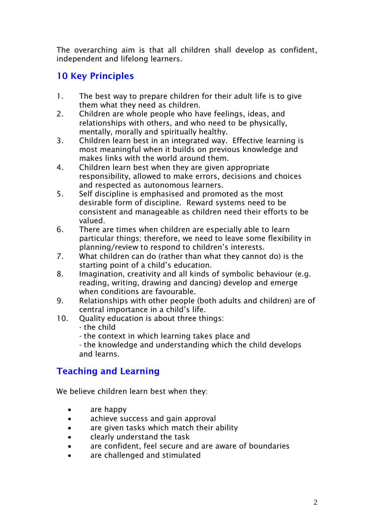The overarching aim is that all children shall develop as confident, independent and lifelong learners.

# **10 Key Principles**

- 1. The best way to prepare children for their adult life is to give them what they need as children.
- 2. Children are whole people who have feelings, ideas, and relationships with others, and who need to be physically, mentally, morally and spiritually healthy.
- 3. Children learn best in an integrated way. Effective learning is most meaningful when it builds on previous knowledge and makes links with the world around them.
- 4. Children learn best when they are given appropriate responsibility, allowed to make errors, decisions and choices and respected as autonomous learners.
- 5. Self discipline is emphasised and promoted as the most desirable form of discipline. Reward systems need to be consistent and manageable as children need their efforts to be valued.
- 6. There are times when children are especially able to learn particular things; therefore, we need to leave some flexibility in planning/review to respond to children's interests.
- 7. What children can do (rather than what they cannot do) is the starting point of a child's education.
- 8. Imagination, creativity and all kinds of symbolic behaviour (e.g. reading, writing, drawing and dancing) develop and emerge when conditions are favourable.
- 9. Relationships with other people (both adults and children) are of central importance in a child's life.
- 10. Quality education is about three things:
	- the child
	- the context in which learning takes place and

- the knowledge and understanding which the child develops and learns.

# **Teaching and Learning**

We believe children learn best when they:

- are happy
- achieve success and gain approval
- are given tasks which match their ability
- clearly understand the task
- are confident, feel secure and are aware of boundaries
- are challenged and stimulated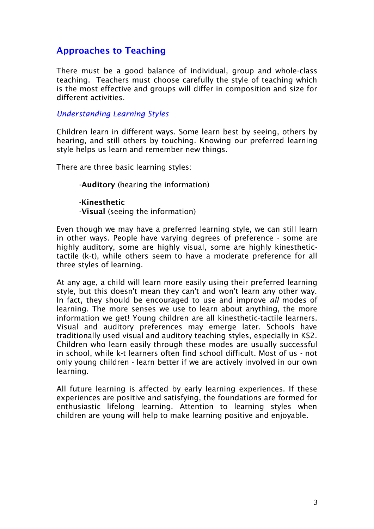## **Approaches to Teaching**

There must be a good balance of individual, group and whole-class teaching. Teachers must choose carefully the style of teaching which is the most effective and groups will differ in composition and size for different activities.

#### *Understanding Learning Styles*

Children learn in different ways. Some learn best by seeing, others by hearing, and still others by touching. Knowing our preferred learning style helps us learn and remember new things.

There are three basic learning styles:

-**Auditory** (hearing the information)

**-Kinesthetic** -**Visual** (seeing the information)

Even though we may have a preferred learning style, we can still learn in other ways. People have varying degrees of preference - some are highly auditory, some are highly visual, some are highly kinesthetictactile (k-t), while others seem to have a moderate preference for all three styles of learning.

At any age, a child will learn more easily using their preferred learning style, but this doesn't mean they can't and won't learn any other way. In fact, they should be encouraged to use and improve *all* modes of learning. The more senses we use to learn about anything, the more information we get! Young children are all kinesthetic-tactile learners. Visual and auditory preferences may emerge later. Schools have traditionally used visual and auditory teaching styles, especially in KS2. Children who learn easily through these modes are usually successful in school, while k-t learners often find school difficult. Most of us - not only young children - learn better if we are actively involved in our own learning.

All future learning is affected by early learning experiences. If these experiences are positive and satisfying, the foundations are formed for enthusiastic lifelong learning. Attention to learning styles when children are young will help to make learning positive and enjoyable.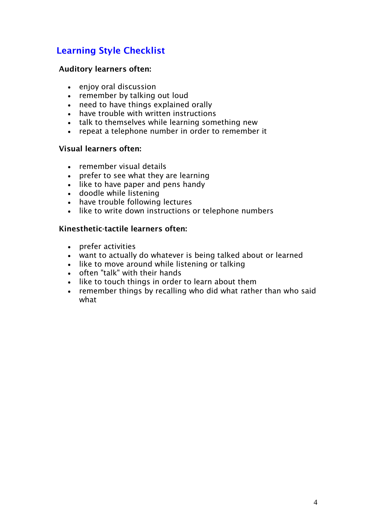# **Learning Style Checklist**

### **Auditory learners often:**

- enjoy oral discussion
- remember by talking out loud
- need to have things explained orally
- have trouble with written instructions
- talk to themselves while learning something new
- repeat a telephone number in order to remember it

### **Visual learners often:**

- remember visual details
- prefer to see what they are learning
- like to have paper and pens handy
- doodle while listening
- have trouble following lectures
- like to write down instructions or telephone numbers

### **Kinesthetic-tactile learners often:**

- prefer activities
- want to actually do whatever is being talked about or learned
- like to move around while listening or talking
- often "talk" with their hands
- like to touch things in order to learn about them
- remember things by recalling who did what rather than who said what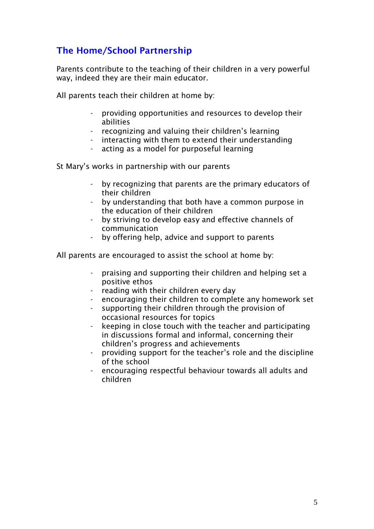# **The Home/School Partnership**

Parents contribute to the teaching of their children in a very powerful way, indeed they are their main educator.

All parents teach their children at home by:

- providing opportunities and resources to develop their abilities
- recognizing and valuing their children's learning
- interacting with them to extend their understanding
- acting as a model for purposeful learning

St Mary's works in partnership with our parents

- by recognizing that parents are the primary educators of their children
- by understanding that both have a common purpose in the education of their children
- by striving to develop easy and effective channels of communication
- by offering help, advice and support to parents

All parents are encouraged to assist the school at home by:

- praising and supporting their children and helping set a positive ethos
- reading with their children every day
- encouraging their children to complete any homework set
- supporting their children through the provision of occasional resources for topics
- keeping in close touch with the teacher and participating in discussions formal and informal, concerning their children's progress and achievements
- providing support for the teacher's role and the discipline of the school
- encouraging respectful behaviour towards all adults and children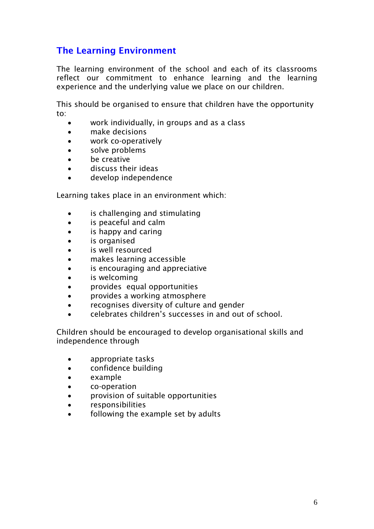# **The Learning Environment**

The learning environment of the school and each of its classrooms reflect our commitment to enhance learning and the learning experience and the underlying value we place on our children.

This should be organised to ensure that children have the opportunity to:

- work individually, in groups and as a class
- make decisions
- work co-operatively
- solve problems
- be creative
- discuss their ideas
- develop independence

Learning takes place in an environment which:

- is challenging and stimulating
- is peaceful and calm
- is happy and caring
- is organised
- is well resourced
- makes learning accessible
- is encouraging and appreciative
- is welcoming
- provides equal opportunities
- provides a working atmosphere
- recognises diversity of culture and gender
- celebrates children's successes in and out of school.

Children should be encouraged to develop organisational skills and independence through

- appropriate tasks
- confidence building
- example
- co-operation
- provision of suitable opportunities
- responsibilities
- following the example set by adults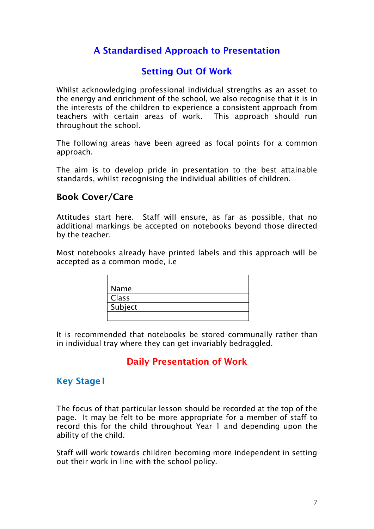# **A Standardised Approach to Presentation**

# **Setting Out Of Work**

Whilst acknowledging professional individual strengths as an asset to the energy and enrichment of the school, we also recognise that it is in the interests of the children to experience a consistent approach from teachers with certain areas of work. This approach should run throughout the school.

The following areas have been agreed as focal points for a common approach.

The aim is to develop pride in presentation to the best attainable standards, whilst recognising the individual abilities of children.

### **Book Cover/Care**

Attitudes start here. Staff will ensure, as far as possible, that no additional markings be accepted on notebooks beyond those directed by the teacher.

Most notebooks already have printed labels and this approach will be accepted as a common mode, i.e

| Name    |  |  |
|---------|--|--|
| Class   |  |  |
| Subject |  |  |
|         |  |  |

It is recommended that notebooks be stored communally rather than in individual tray where they can get invariably bedraggled.

### **Daily Presentation of Work**

### **Key Stage1**

The focus of that particular lesson should be recorded at the top of the page. It may be felt to be more appropriate for a member of staff to record this for the child throughout Year 1 and depending upon the ability of the child.

Staff will work towards children becoming more independent in setting out their work in line with the school policy.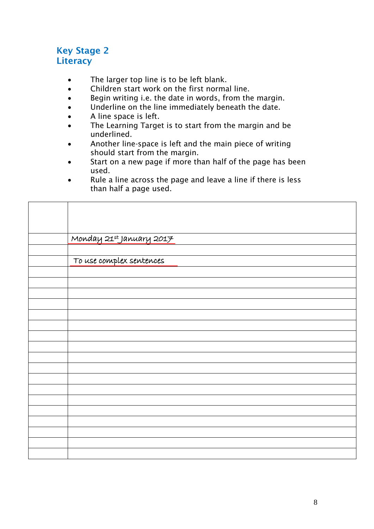## **Key Stage 2 Literacy**

- The larger top line is to be left blank.
- Children start work on the first normal line.
- Begin writing i.e. the date in words, from the margin.
- Underline on the line immediately beneath the date.
- A line space is left.
- The Learning Target is to start from the margin and be underlined.
- Another line-space is left and the main piece of writing should start from the margin.
- Start on a new page if more than half of the page has been used.
- Rule a line across the page and leave a line if there is less than half a page used.

| Monday 21st January 2017 |
|--------------------------|
|                          |
| To use complex sentences |
|                          |
|                          |
|                          |
|                          |
|                          |
|                          |
|                          |
|                          |
|                          |
|                          |
|                          |
|                          |
|                          |
|                          |
|                          |
|                          |
|                          |
|                          |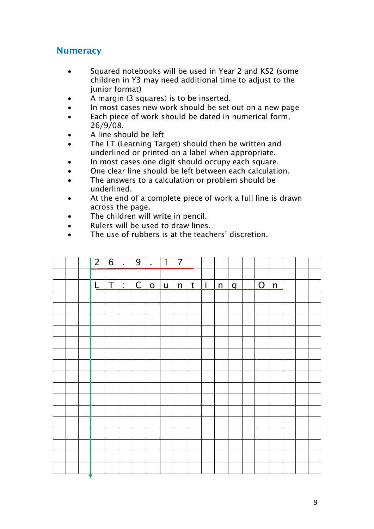## **Numeracy**

- Squared notebooks will be used in Year 2 and KS2 (some children in Y3 may need additional time to adjust to the junior format)
- A margin (3 squares) is to be inserted.
- In most cases new work should be set out on a new page
- Each piece of work should be dated in numerical form, 26/9/08.
- A line should be left
- The LT (Learning Target) should then be written and underlined or printed on a label when appropriate.
- In most cases one digit should occupy each square.
- One clear line should be left between each calculation.
- The answers to a calculation or problem should be underlined.
- At the end of a complete piece of work a full line is drawn across the page.
- The children will write in pencil.
- Rulers will be used to draw lines.
- The use of rubbers is at the teachers' discretion.

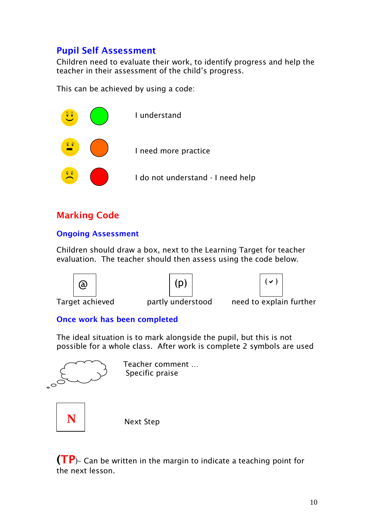# **Pupil Self Assessment**

Children need to evaluate their work, to identify progress and help the teacher in their assessment of the child's progress.

This can be achieved by using a code:



# **Marking Code**

### **Ongoing Assessment**

Children should draw a box, next to the Learning Target for teacher evaluation. The teacher should then assess using the code below.







Target achieved partly understood need to explain further

### **Once work has been completed**

The ideal situation is to mark alongside the pupil, but this is not possible for a whole class. After work is complete 2 symbols are used



 Teacher comment … Specific praise



Next Step

**(TP**)– Can be written in the margin to indicate a teaching point for the next lesson.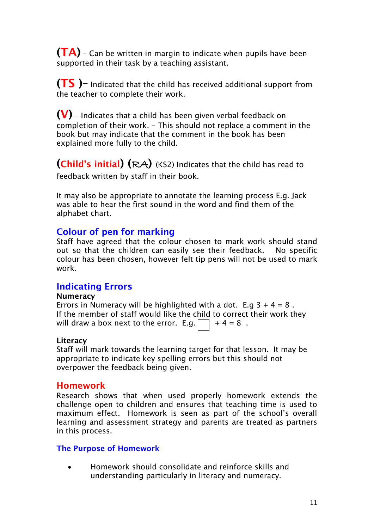**(TA)** – Can be written in margin to indicate when pupils have been supported in their task by a teaching assistant.

**(TS )–** Indicated that the child has received additional support from the teacher to complete their work.

**(V)** – Indicates that a child has been given verbal feedback on completion of their work. – This should not replace a comment in the book but may indicate that the comment in the book has been explained more fully to the child.

**(Child's initial) (**RA**)** (KS2) Indicates that the child has read to feedback written by staff in their book.

It may also be appropriate to annotate the learning process E.g. Jack was able to hear the first sound in the word and find them of the alphabet chart.

### **Colour of pen for marking**

Staff have agreed that the colour chosen to mark work should stand out so that the children can easily see their feedback. No specific colour has been chosen, however felt tip pens will not be used to mark work.

### **Indicating Errors**

### **Numeracy**

Errors in Numeracy will be highlighted with a dot. E.g  $3 + 4 = 8$ . If the member of staff would like the child to correct their work they will draw a box next to the error. E.g.  $\Box$  + 4 = 8.

### **Literacy**

Staff will mark towards the learning target for that lesson. It may be appropriate to indicate key spelling errors but this should not overpower the feedback being given.

### **Homework**

Research shows that when used properly homework extends the challenge open to children and ensures that teaching time is used to maximum effect. Homework is seen as part of the school's overall learning and assessment strategy and parents are treated as partners in this process.

### **The Purpose of Homework**

 Homework should consolidate and reinforce skills and understanding particularly in literacy and numeracy.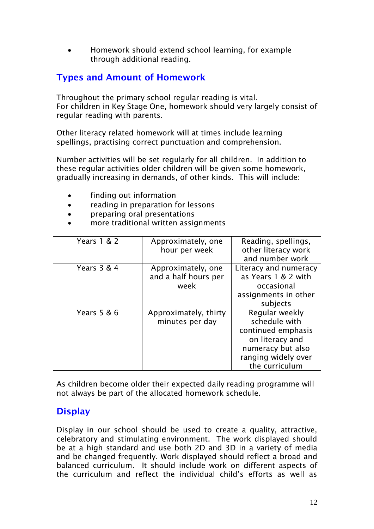Homework should extend school learning, for example through additional reading.

# **Types and Amount of Homework**

Throughout the primary school regular reading is vital. For children in Key Stage One, homework should very largely consist of regular reading with parents.

Other literacy related homework will at times include learning spellings, practising correct punctuation and comprehension.

Number activities will be set regularly for all children. In addition to these regular activities older children will be given some homework, gradually increasing in demands, of other kinds. This will include:

- finding out information
- reading in preparation for lessons
- preparing oral presentations
- more traditional written assignments

| Years 1 & 2 | Approximately, one<br>hour per week                | Reading, spellings,<br>other literacy work<br>and number work                                                                          |
|-------------|----------------------------------------------------|----------------------------------------------------------------------------------------------------------------------------------------|
| Years 3 & 4 | Approximately, one<br>and a half hours per<br>week | Literacy and numeracy<br>as Years 1 & 2 with<br>occasional<br>assignments in other<br>subjects                                         |
| Years 5 & 6 | Approximately, thirty<br>minutes per day           | Regular weekly<br>schedule with<br>continued emphasis<br>on literacy and<br>numeracy but also<br>ranging widely over<br>the curriculum |

As children become older their expected daily reading programme will not always be part of the allocated homework schedule.

## **Display**

Display in our school should be used to create a quality, attractive, celebratory and stimulating environment. The work displayed should be at a high standard and use both 2D and 3D in a variety of media and be changed frequently. Work displayed should reflect a broad and balanced curriculum. It should include work on different aspects of the curriculum and reflect the individual child's efforts as well as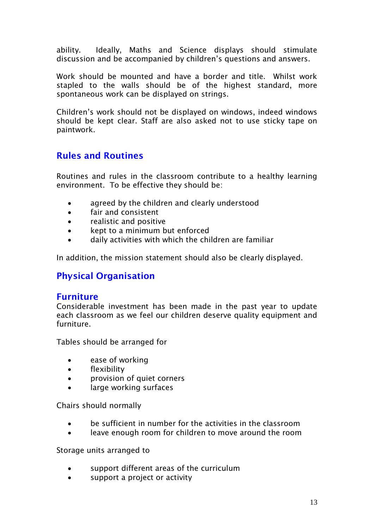ability. Ideally, Maths and Science displays should stimulate discussion and be accompanied by children's questions and answers.

Work should be mounted and have a border and title. Whilst work stapled to the walls should be of the highest standard, more spontaneous work can be displayed on strings.

Children's work should not be displayed on windows, indeed windows should be kept clear. Staff are also asked not to use sticky tape on paintwork.

## **Rules and Routines**

Routines and rules in the classroom contribute to a healthy learning environment. To be effective they should be:

- agreed by the children and clearly understood
- fair and consistent
- realistic and positive
- kept to a minimum but enforced
- daily activities with which the children are familiar

In addition, the mission statement should also be clearly displayed.

# **Physical Organisation**

### **Furniture**

Considerable investment has been made in the past year to update each classroom as we feel our children deserve quality equipment and furniture.

Tables should be arranged for

- ease of working
- flexibility
- provision of quiet corners
- large working surfaces

Chairs should normally

- be sufficient in number for the activities in the classroom
- leave enough room for children to move around the room

Storage units arranged to

- support different areas of the curriculum
- support a project or activity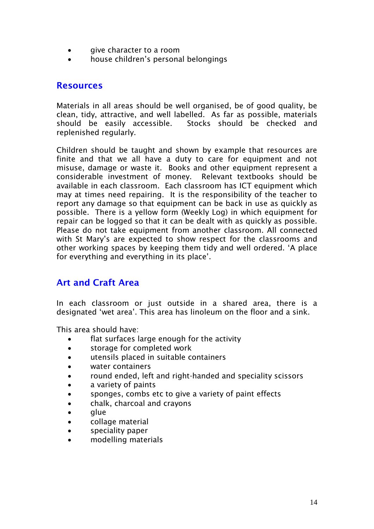- give character to a room
- house children's personal belongings

### **Resources**

Materials in all areas should be well organised, be of good quality, be clean, tidy, attractive, and well labelled. As far as possible, materials should be easily accessible. Stocks should be checked and replenished regularly.

Children should be taught and shown by example that resources are finite and that we all have a duty to care for equipment and not misuse, damage or waste it. Books and other equipment represent a considerable investment of money. Relevant textbooks should be available in each classroom. Each classroom has ICT equipment which may at times need repairing. It is the responsibility of the teacher to report any damage so that equipment can be back in use as quickly as possible. There is a yellow form (Weekly Log) in which equipment for repair can be logged so that it can be dealt with as quickly as possible. Please do not take equipment from another classroom. All connected with St Mary's are expected to show respect for the classrooms and other working spaces by keeping them tidy and well ordered. 'A place for everything and everything in its place'.

### **Art and Craft Area**

In each classroom or just outside in a shared area, there is a designated 'wet area'. This area has linoleum on the floor and a sink.

This area should have:

- flat surfaces large enough for the activity
- storage for completed work
- utensils placed in suitable containers
- water containers
- round ended, left and right-handed and speciality scissors
- a variety of paints
- sponges, combs etc to give a variety of paint effects
- chalk, charcoal and crayons
- alue
- collage material
- speciality paper
- modelling materials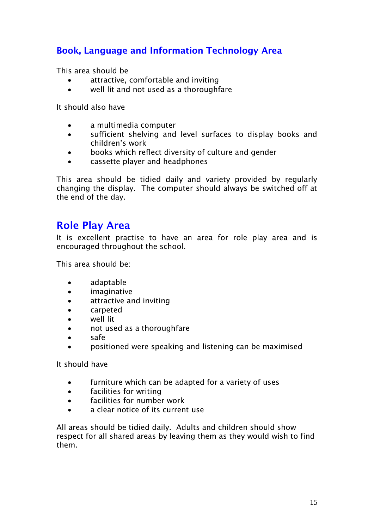# **Book, Language and Information Technology Area**

This area should be

- attractive, comfortable and inviting
- well lit and not used as a thoroughfare

It should also have

- a multimedia computer
- sufficient shelving and level surfaces to display books and children's work
- books which reflect diversity of culture and gender
- cassette player and headphones

This area should be tidied daily and variety provided by regularly changing the display. The computer should always be switched off at the end of the day.

# **Role Play Area**

It is excellent practise to have an area for role play area and is encouraged throughout the school.

This area should be:

- adaptable
- **•** imaginative
- attractive and inviting
- carpeted
- well lit
- not used as a thoroughfare
- safe
- positioned were speaking and listening can be maximised

It should have

- furniture which can be adapted for a variety of uses
- facilities for writing
- facilities for number work
- a clear notice of its current use

All areas should be tidied daily. Adults and children should show respect for all shared areas by leaving them as they would wish to find them.